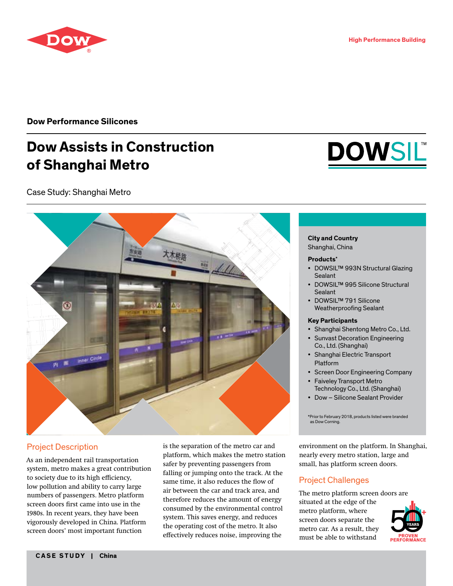

**Dow Performance Silicones**

# **Dow Assists in Construction of Shanghai Metro**

Case Study: Shanghai Metro



# Project Description

As an independent rail transportation system, metro makes a great contribution to society due to its high efficiency, low pollution and ability to carry large numbers of passengers. Metro platform screen doors first came into use in the 1980s. In recent years, they have been vigorously developed in China. Platform screen doors' most important function

is the separation of the metro car and platform, which makes the metro station safer by preventing passengers from falling or jumping onto the track. At the same time, it also reduces the flow of air between the car and track area, and therefore reduces the amount of energy consumed by the environmental control system. This saves energy, and reduces the operating cost of the metro. It also effectively reduces noise, improving the



#### **City and Country**

Shanghai, China

#### **Products\***

- DOWSIL™ 993N Structural Glazing Sealant
- DOWSIL™ 995 Silicone Structural Sealant
- DOWSIL™ 791 Silicone Weatherproofing Sealant

#### **Key Participants**

- Shanghai Shentong Metro Co., Ltd.
- Sunvast Decoration Engineering Co., Ltd. (Shanghai)
- Shanghai Electric Transport Platform
- Screen Door Engineering Company
- Faiveley Transport Metro Technology Co., Ltd. (Shanghai)
- Dow Silicone Sealant Provider

environment on the platform. In Shanghai, nearly every metro station, large and small, has platform screen doors.

# Project Challenges

The metro platform screen doors are situated at the edge of the metro platform, where screen doors separate the metro car. As a result, they must be able to withstand



<sup>\*</sup>Prior to February 2018, products listed were branded as Dow Corning.